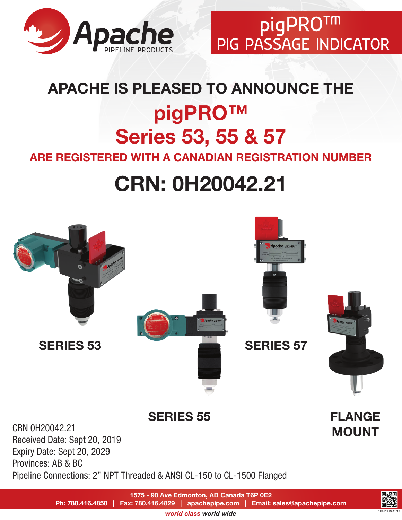

pigPRO™ PIG PASSAGE INDICATOR

# APACHE IS PLEASED TO ANNOUNCE THE pigPRO™ Series 53, 55 & 57

ARE REGISTERED WITH A CANADIAN REGISTRATION NUMBER

# CRN: 0H20042.21



*world class world wide*

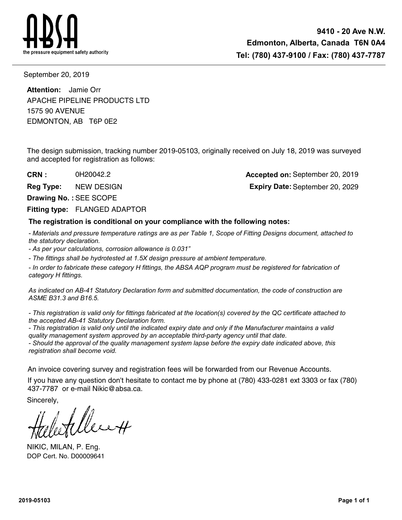

September 20, 2019

EDMONTON, AB T6P 0E2 1575 90 AVENUE **Attention:** Jamie Orr APACHE PIPELINE PRODUCTS LTD

The design submission, tracking number 2019-05103, originally received on July 18, 2019 was surveyed and accepted for registration as follows:

**CRN :**

0H20042.2 **Accepted on:** September 20, 2019 **Reg Type:** NEW DESIGN September 20, 2029

**Drawing No. :** SEE SCOPE

**Fitting type: FLANGED ADAPTOR** 

## **The registration is conditional on your compliance with the following notes:**

*- Materials and pressure temperature ratings are as per Table 1, Scope of Fitting Designs document, attached to the statutory declaration.*

*- As per your calculations, corrosion allowance is 0.031"*

*- The fittings shall be hydrotested at 1.5X design pressure at ambient temperature.*

*- In order to fabricate these category H fittings, the ABSA AQP program must be registered for fabrication of category H fittings.*

*As indicated on AB-41 Statutory Declaration form and submitted documentation, the code of construction are ASME B31.3 and B16.5.*

*- This registration is valid only for fittings fabricated at the location(s) covered by the QC certificate attached to the accepted AB-41 Statutory Declaration form.*

*- This registration is valid only until the indicated expiry date and only if the Manufacturer maintains a valid quality management system approved by an acceptable third-party agency until that date.*

*- Should the approval of the quality management system lapse before the expiry date indicated above, this registration shall become void.*

An invoice covering survey and registration fees will be forwarded from our Revenue Accounts.

If you have any question don't hesitate to contact me by phone at (780) 433-0281 ext 3303 or fax (780) 437-7787 or e-mail Nikic@absa.ca.

Sincerely,

NIKIC, MILAN, P. Eng. DOP Cert. No. D00009641